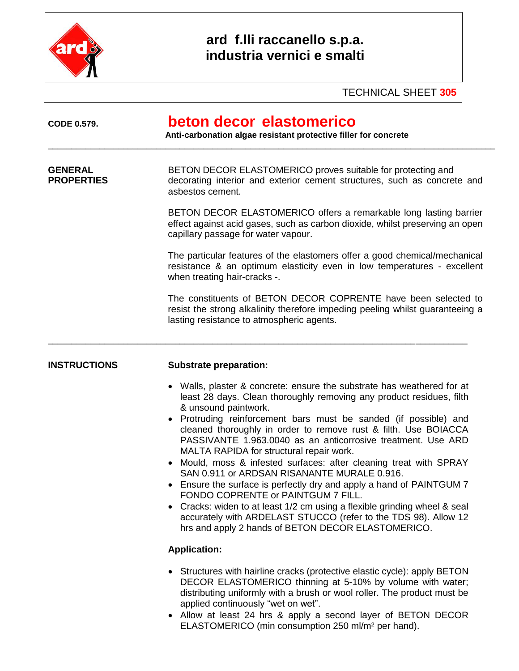

## **ard f.lli raccanello s.p.a. industria vernici e smalti**

TECHNICAL SHEET **305**

| <b>CODE 0.579.</b>                  | beton decor elastomerico<br>Anti-carbonation algae resistant protective filler for concrete                                                                                                                                                                                                                                                                                                                                                                                                                                                                                                                                                                                                                                                                                                                                                                             |  |  |  |
|-------------------------------------|-------------------------------------------------------------------------------------------------------------------------------------------------------------------------------------------------------------------------------------------------------------------------------------------------------------------------------------------------------------------------------------------------------------------------------------------------------------------------------------------------------------------------------------------------------------------------------------------------------------------------------------------------------------------------------------------------------------------------------------------------------------------------------------------------------------------------------------------------------------------------|--|--|--|
| <b>GENERAL</b><br><b>PROPERTIES</b> | BETON DECOR ELASTOMERICO proves suitable for protecting and<br>decorating interior and exterior cement structures, such as concrete and<br>asbestos cement.                                                                                                                                                                                                                                                                                                                                                                                                                                                                                                                                                                                                                                                                                                             |  |  |  |
|                                     | BETON DECOR ELASTOMERICO offers a remarkable long lasting barrier<br>effect against acid gases, such as carbon dioxide, whilst preserving an open<br>capillary passage for water vapour.                                                                                                                                                                                                                                                                                                                                                                                                                                                                                                                                                                                                                                                                                |  |  |  |
|                                     | The particular features of the elastomers offer a good chemical/mechanical<br>resistance & an optimum elasticity even in low temperatures - excellent<br>when treating hair-cracks -.                                                                                                                                                                                                                                                                                                                                                                                                                                                                                                                                                                                                                                                                                   |  |  |  |
|                                     | The constituents of BETON DECOR COPRENTE have been selected to<br>resist the strong alkalinity therefore impeding peeling whilst guaranteeing a<br>lasting resistance to atmospheric agents.                                                                                                                                                                                                                                                                                                                                                                                                                                                                                                                                                                                                                                                                            |  |  |  |
| <b>INSTRUCTIONS</b>                 | <b>Substrate preparation:</b>                                                                                                                                                                                                                                                                                                                                                                                                                                                                                                                                                                                                                                                                                                                                                                                                                                           |  |  |  |
|                                     | • Walls, plaster & concrete: ensure the substrate has weathered for at<br>least 28 days. Clean thoroughly removing any product residues, filth<br>& unsound paintwork.<br>Protruding reinforcement bars must be sanded (if possible) and<br>cleaned thoroughly in order to remove rust & filth. Use BOIACCA<br>PASSIVANTE 1.963.0040 as an anticorrosive treatment. Use ARD<br>MALTA RAPIDA for structural repair work.<br>Mould, moss & infested surfaces: after cleaning treat with SPRAY<br>SAN 0.911 or ARDSAN RISANANTE MURALE 0.916.<br>Ensure the surface is perfectly dry and apply a hand of PAINTGUM 7<br>FONDO COPRENTE or PAINTGUM 7 FILL.<br>Cracks: widen to at least 1/2 cm using a flexible grinding wheel & seal<br>$\bullet$<br>accurately with ARDELAST STUCCO (refer to the TDS 98). Allow 12<br>hrs and apply 2 hands of BETON DECOR ELASTOMERICO. |  |  |  |
|                                     | <b>Application:</b>                                                                                                                                                                                                                                                                                                                                                                                                                                                                                                                                                                                                                                                                                                                                                                                                                                                     |  |  |  |
|                                     | • Structures with hairline cracks (protective elastic cycle): apply BETON<br>DECOR ELASTOMERICO thinning at 5-10% by volume with water;<br>distributing uniformly with a brush or wool roller. The product must be<br>applied continuously "wet on wet".<br>• Allow at least 24 hrs & apply a second layer of BETON DECOR<br>ELASTOMERICO (min consumption 250 ml/m <sup>2</sup> per hand).                                                                                                                                                                                                                                                                                                                                                                                                                                                                             |  |  |  |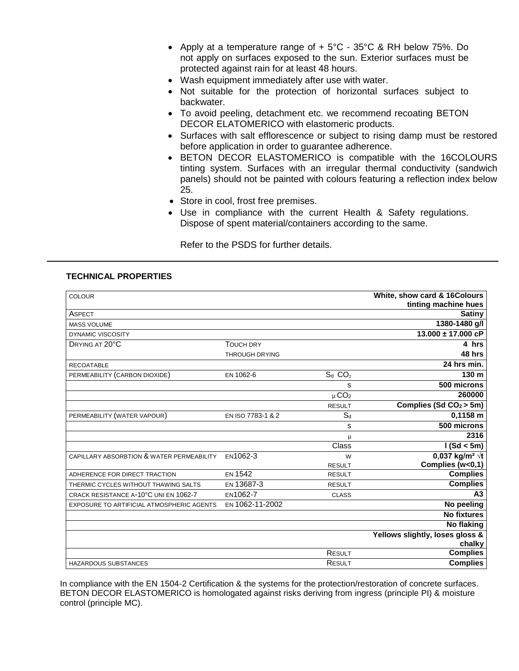- Apply at a temperature range of  $+5^{\circ}$ C 35°C & RH below 75%. Do not apply on surfaces exposed to the sun. Exterior surfaces must be protected against rain for at least 48 hours.
- Wash equipment immediately after use with water.
- Not suitable for the protection of horizontal surfaces subject to backwater.
- To avoid peeling, detachment etc. we recommend recoating BETON DECOR ELATOMERICO with elastomeric products.
- Surfaces with salt efflorescence or subject to rising damp must be restored before application in order to guarantee adherence.
- BETON DECOR ELASTOMERICO is compatible with the 16COLOURS tinting system. Surfaces with an irregular thermal conductivity (sandwich panels) should not be painted with colours featuring a reflection index below 25.
- Store in cool, frost free premises.
- Use in compliance with the current Health & Safety regulations. Dispose of spent material/containers according to the same.

Refer to the PSDS for further details.

## **TECHNICAL PROPERTIES**

| <b>COLOUR</b>                             |                       |                       | White, show card & 16Colours       |
|-------------------------------------------|-----------------------|-----------------------|------------------------------------|
|                                           |                       |                       | tinting machine hues               |
| ASPECT                                    |                       |                       | <b>Satiny</b>                      |
| <b>MASS VOLUME</b>                        |                       |                       | 1380-1480 g/l                      |
| <b>DYNAMIC VISCOSITY</b>                  |                       |                       | $13.000 \pm 17.000$ cP             |
| DRYING AT 20°C                            | <b>TOUCH DRY</b>      |                       | 4 hrs                              |
|                                           | <b>THROUGH DRYING</b> |                       | 48 hrs                             |
| <b>RECOATABLE</b>                         |                       |                       | 24 hrs min.                        |
| PERMEABILITY (CARBON DIOXIDE)             | EN 1062-6             | $S_d$ $CO_2$          | 130 <sub>m</sub>                   |
|                                           |                       | s                     | $500$ microns                      |
|                                           |                       | $\mu$ CO <sub>2</sub> | 260000                             |
|                                           |                       | <b>RESULT</b>         | Complies (Sd $CO2$ > 5m)           |
| PERMEABILITY (WATER VAPOUR)               | EN ISO 7783-1 & 2     | $S_d$                 | $0,1158$ m                         |
|                                           |                       | s                     | 500 microns                        |
|                                           |                       | μ                     | 2316                               |
|                                           |                       | Class                 | 1(Sd < 5m)                         |
| CAPILLARY ABSORBTION & WATER PERMEABILITY | EN1062-3              | W                     | 0,037 kg/m <sup>2</sup> $\sqrt{t}$ |
|                                           |                       | <b>RESULT</b>         | Complies (w<0,1)                   |
| ADHERENCE FOR DIRECT TRACTION             | EN 1542               | <b>RESULT</b>         | <b>Complies</b>                    |
| THERMIC CYCLES WITHOUT THAWING SALTS      | EN 13687-3            | <b>RESULT</b>         | <b>Complies</b>                    |
| CRACK RESISTANCE A-10°C UNI EN 1062-7     | EN1062-7              | <b>CLASS</b>          | A <sub>3</sub>                     |
| EXPOSURE TO ARTIFICIAL ATMOSPHERIC AGENTS | EN 1062-11-2002       |                       | No peeling                         |
|                                           |                       |                       | <b>No fixtures</b>                 |
|                                           |                       |                       | No flaking                         |
|                                           |                       |                       | Yellows slightly, loses gloss &    |
|                                           |                       |                       | chalky                             |
|                                           |                       | <b>RESULT</b>         | <b>Complies</b>                    |
| <b>HAZARDOUS SUBSTANCES</b>               |                       | <b>RESULT</b>         | <b>Complies</b>                    |

In compliance with the EN 1504-2 Certification & the systems for the protection/restoration of concrete surfaces. BETON DECOR ELASTOMERICO is homologated against risks deriving from ingress (principle PI) & moisture control (principle MC).